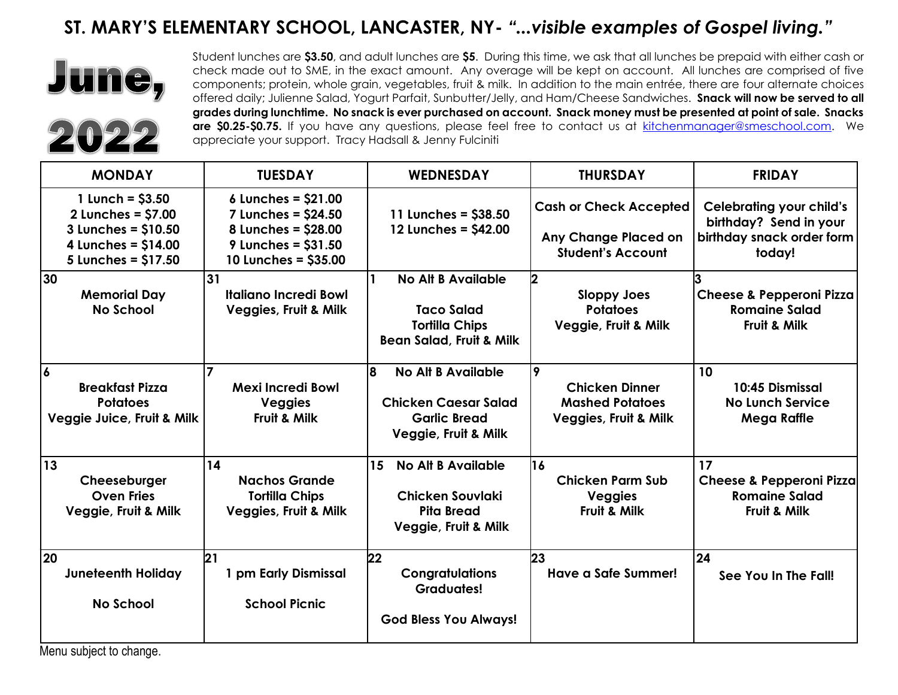## **ST. MARY'S ELEMENTARY SCHOOL, LANCASTER, NY-** *"...visible examples of Gospel living."*



Student lunches are **\$3.50**, and adult lunches are **\$5**. During this time, we ask that all lunches be prepaid with either cash or check made out to SME, in the exact amount. Any overage will be kept on account. All lunches are comprised of five components; protein, whole grain, vegetables, fruit & milk. In addition to the main entrée, there are four alternate choices offered daily; Julienne Salad, Yogurt Parfait, Sunbutter/Jelly, and Ham/Cheese Sandwiches. **Snack will now be served to all grades during lunchtime. No snack is ever purchased on account. Snack money must be presented at point of sale. Snacks**  are \$0.25-\$0.75. If you have any questions, please feel free to contact us at [kitchenmanager@smeschool.com.](mailto:kitchenmanager@smeschool.com) We appreciate your support. Tracy Hadsall & Jenny Fulciniti

| <b>MONDAY</b>                                                                                                    | <b>TUESDAY</b>                                                                                                     | <b>WEDNESDAY</b>                                                                                               | <b>THURSDAY</b>                                                                          | <b>FRIDAY</b>                                                                                    |
|------------------------------------------------------------------------------------------------------------------|--------------------------------------------------------------------------------------------------------------------|----------------------------------------------------------------------------------------------------------------|------------------------------------------------------------------------------------------|--------------------------------------------------------------------------------------------------|
| 1 Lunch = $$3.50$<br>$2$ Lunches = $$7.00$<br>3 Lunches = \$10.50<br>4 Lunches = $$14.00$<br>5 Lunches = \$17.50 | 6 Lunches = $$21.00$<br>7 Lunches = \$24.50<br>8 Lunches = \$28.00<br>9 Lunches = $$31.50$<br>10 Lunches = \$35.00 | 11 Lunches = \$38.50<br>12 Lunches = \$42.00                                                                   | <b>Cash or Check Accepted</b><br>Any Change Placed on<br><b>Student's Account</b>        | <b>Celebrating your child's</b><br>birthday? Send in your<br>birthday snack order form<br>today! |
| 30<br><b>Memorial Day</b><br><b>No School</b>                                                                    | 31<br><b>Italiano Incredi Bowl</b><br><b>Veggies, Fruit &amp; Milk</b>                                             | <b>No Alt B Available</b><br><b>Taco Salad</b><br><b>Tortilla Chips</b><br><b>Bean Salad, Fruit &amp; Milk</b> | 12<br><b>Sloppy Joes</b><br><b>Potatoes</b><br>Veggie, Fruit & Milk                      | <b>Cheese &amp; Pepperoni Pizza</b><br><b>Romaine Salad</b><br>Fruit & Milk                      |
| $\overline{6}$<br><b>Breakfast Pizza</b><br><b>Potatoes</b><br>Veggie Juice, Fruit & Milk                        | <b>Mexi Incredi Bowl</b><br><b>Veggies</b><br>Fruit & Milk                                                         | 8<br><b>No Alt B Available</b><br><b>Chicken Caesar Salad</b><br><b>Garlic Bread</b><br>Veggie, Fruit & Milk   | 9<br><b>Chicken Dinner</b><br><b>Mashed Potatoes</b><br><b>Veggies, Fruit &amp; Milk</b> | 10<br>10:45 Dismissal<br><b>No Lunch Service</b><br><b>Mega Raffle</b>                           |
| 13<br>Cheeseburger<br><b>Oven Fries</b><br>Veggie, Fruit & Milk                                                  | 14<br><b>Nachos Grande</b><br><b>Tortilla Chips</b><br><b>Veggies, Fruit &amp; Milk</b>                            | 15<br><b>No Alt B Available</b><br>Chicken Souvlaki<br><b>Pita Bread</b><br>Veggie, Fruit & Milk               | 16<br><b>Chicken Parm Sub</b><br><b>Veggies</b><br>Fruit & Milk                          | 17<br><b>Cheese &amp; Pepperoni Pizza</b><br><b>Romaine Salad</b><br>Fruit & Milk                |
| 20<br><b>Juneteenth Holiday</b><br><b>No School</b>                                                              | 21<br>1 pm Early Dismissal<br><b>School Picnic</b>                                                                 | 22<br><b>Congratulations</b><br><b>Graduates!</b><br><b>God Bless You Always!</b>                              | 23<br>Have a Safe Summer!                                                                | 24<br>See You In The Fall!                                                                       |

Menu subject to change.